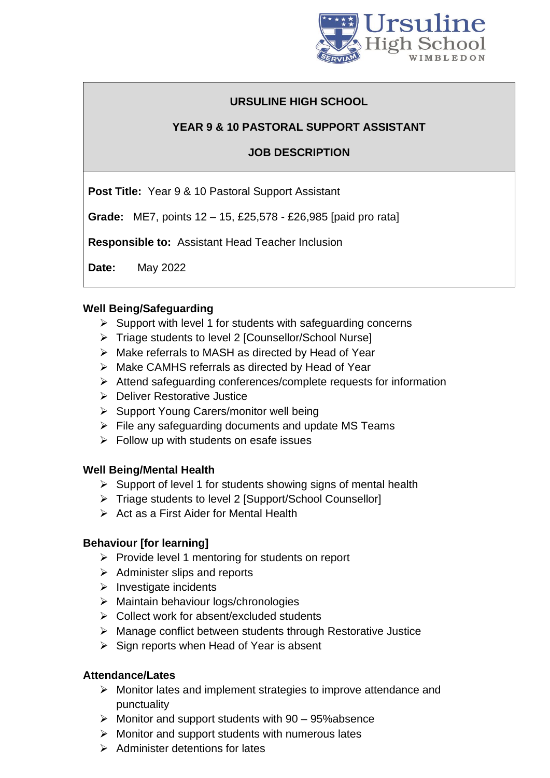

# **URSULINE HIGH SCHOOL**

## **YEAR 9 & 10 PASTORAL SUPPORT ASSISTANT**

### **JOB DESCRIPTION**

**Post Title:** Year 9 & 10 Pastoral Support Assistant

**Grade:** ME7, points 12 – 15, £25,578 - £26,985 [paid pro rata]

**Responsible to:** Assistant Head Teacher Inclusion

**Date:** May 2022

#### **Well Being/Safeguarding**

- $\triangleright$  Support with level 1 for students with safeguarding concerns
- ➢ Triage students to level 2 [Counsellor/School Nurse]
- ➢ Make referrals to MASH as directed by Head of Year
- ➢ Make CAMHS referrals as directed by Head of Year
- ➢ Attend safeguarding conferences/complete requests for information
- ➢ Deliver Restorative Justice
- ➢ Support Young Carers/monitor well being
- ➢ File any safeguarding documents and update MS Teams
- $\triangleright$  Follow up with students on esafe issues

### **Well Being/Mental Health**

- ➢ Support of level 1 for students showing signs of mental health
- ➢ Triage students to level 2 [Support/School Counsellor]
- ➢ Act as a First Aider for Mental Health

### **Behaviour [for learning]**

- ➢ Provide level 1 mentoring for students on report
- $\triangleright$  Administer slips and reports
- ➢ Investigate incidents
- ➢ Maintain behaviour logs/chronologies
- ➢ Collect work for absent/excluded students
- ➢ Manage conflict between students through Restorative Justice
- $\triangleright$  Sign reports when Head of Year is absent

### **Attendance/Lates**

- ➢ Monitor lates and implement strategies to improve attendance and punctuality
- $\triangleright$  Monitor and support students with 90 95% absence
- ➢ Monitor and support students with numerous lates
- $\triangleright$  Administer detentions for lates